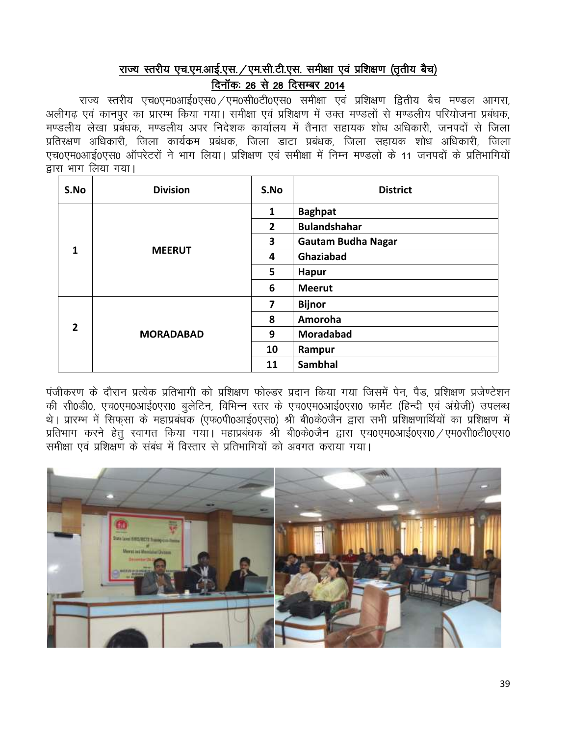# राज्य स्तरीय एच.एम.आई.एस. /एम.सी.टी.एस. समीक्षा एवं प्रशिक्षण (तृतीय बैच) दिनॉक: 26 से 28 दिसम्बर 2014

राज्य स्तरीय एच0एम0आई0एस0 ⁄ एम0सी0टी0एस0 समीक्षा एवं प्रशिक्षण द्वितीय बैच मण्डल आगरा. अलीगढ एवं कानपुर का प्रारम्भ किया गया। समीक्षा एवं प्रशिक्षण में उक्त मण्डलों से मण्डलीय परियोजना प्रबंधक, मण्डलीय लेखा प्रबंधक, मण्डलीय अपर निदेशक कार्यालय में तैनात सहायक शोध अधिकारी, जनपदों से जिला प्रतिरक्षण अधिकारी, जिला कार्यक्रम प्रबंधक, जिला डाटा प्रबंधक, जिला सहायक शोध अधिकारी, जिला एच0एम0आई0एस0 ऑपरेटरों ने भाग लिया। प्रशिक्षण एवं समीक्षा में निम्न मण्डलो के 11 जनपदों के प्रतिभागियों द्वारा भाग लिया गया।

| S.No           | <b>Division</b>  | S.No                    | <b>District</b>           |
|----------------|------------------|-------------------------|---------------------------|
|                |                  | 1                       | <b>Baghpat</b>            |
|                |                  | $\overline{2}$          | <b>Bulandshahar</b>       |
|                |                  | 3                       | <b>Gautam Budha Nagar</b> |
| 1              | <b>MEERUT</b>    | 4                       | Ghaziabad                 |
|                |                  | 5                       | <b>Hapur</b>              |
|                |                  | 6                       | <b>Meerut</b>             |
|                |                  | $\overline{\mathbf{z}}$ | <b>Bijnor</b>             |
|                |                  | 8                       | Amoroha                   |
| $\overline{2}$ | <b>MORADABAD</b> | 9                       | Moradabad                 |
|                |                  | 10                      | Rampur                    |
|                |                  | 11                      | Sambhal                   |

पंजीकरण के दौरान प्रत्येक प्रतिभागी को प्रशिक्षण फोल्डर प्रदान किया गया जिसमें पेन, पैड, प्रशिक्षण प्रजेण्टेशन की सी0डी0, एच0एम0आई0एस0 बुलेटिन, विभिन्न स्तर के एच0एम0आई0एस0 फार्मेट (हिन्दी एवं अंग्रेजी) उपलब्ध थे। प्रारम्भ में सिफसा के महाप्रबंधक (एफ0पी0आई0एस0) श्री बी0के0जैन द्वारा सभी प्रशिक्षणार्थियों का प्रशिक्षण मे प्रतिभाग करने हेतु स्वागत किया गया। महाप्रबंधक श्री बी0के0जैन द्वारा एच0एम0आई0एस0 /एम0सी0टी0एस0 समीक्षा एवं प्रशिक्षण के संबंध में विस्तार से प्रतिभागियों को अवगत कराया गया।

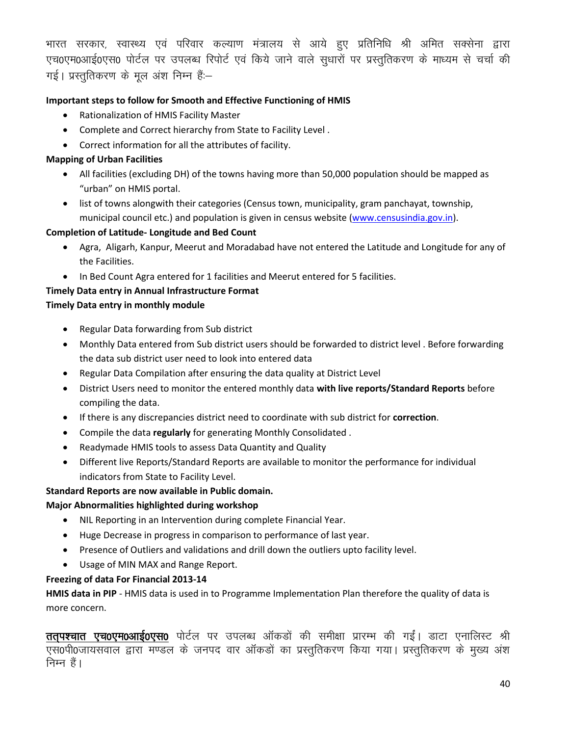भारत सरकार, स्वास्थ्य एवं परिवार कल्याण मंत्रालय से आये हुए प्रतिनिधि श्री अमित सक्सेना द्वारा एच0एम0आई0एस0 पोर्टल पर उपलब्ध रिपोर्ट एवं किये जाने वाले सुधारों पर प्रस्तुतिकरण के माध्यम से चर्चा की गई। प्रस्तुतिकरण के मूल अंश निम्न हैं:-

### **Important steps to follow for Smooth and Effective Functioning of HMIS**

- Rationalization of HMIS Facility Master
- Complete and Correct hierarchy from State to Facility Level .
- Correct information for all the attributes of facility.

### **Mapping of Urban Facilities**

- All facilities (excluding DH) of the towns having more than 50,000 population should be mapped as "urban" on HMIS portal.
- list of towns alongwith their categories (Census town, municipality, gram panchayat, township, municipal council etc.) and population is given in census website [\(www.censusindia.gov.in\)](http://www.censusindia.gov.in/).

#### **Completion of Latitude- Longitude and Bed Count**

- Agra, Aligarh, Kanpur, Meerut and Moradabad have not entered the Latitude and Longitude for any of the Facilities.
- In Bed Count Agra entered for 1 facilities and Meerut entered for 5 facilities.

### **Timely Data entry in Annual Infrastructure Format**

#### **Timely Data entry in monthly module**

- Regular Data forwarding from Sub district
- Monthly Data entered from Sub district users should be forwarded to district level . Before forwarding the data sub district user need to look into entered data
- Regular Data Compilation after ensuring the data quality at District Level
- District Users need to monitor the entered monthly data **with live reports/Standard Reports** before compiling the data.
- If there is any discrepancies district need to coordinate with sub district for **correction**.
- Compile the data **regularly** for generating Monthly Consolidated .
- Readymade HMIS tools to assess Data Quantity and Quality
- Different live Reports/Standard Reports are available to monitor the performance for individual indicators from State to Facility Level.

#### **Standard Reports are now available in Public domain.**

#### **Major Abnormalities highlighted during workshop**

- NIL Reporting in an Intervention during complete Financial Year.
- Huge Decrease in progress in comparison to performance of last year.
- Presence of Outliers and validations and drill down the outliers upto facility level.
- Usage of MIN MAX and Range Report.

## **Freezing of data For Financial 2013-14**

**HMIS data in PIP** - HMIS data is used in to Programme Implementation Plan therefore the quality of data is more concern.

ततपश्चात एच0एम0आई0एस0 पोर्टल पर उपलब्ध ऑकडों की समीक्षा प्रारम्भ की गईं। डाटा एनालिस्ट श्री एस0पी0जायसवाल द्वारा मण्डल के जनपद वार ऑकडों का प्रस्तुतिकरण किया गया। प्रस्तुतिकरण के मुख्य अंश निम्न हैं।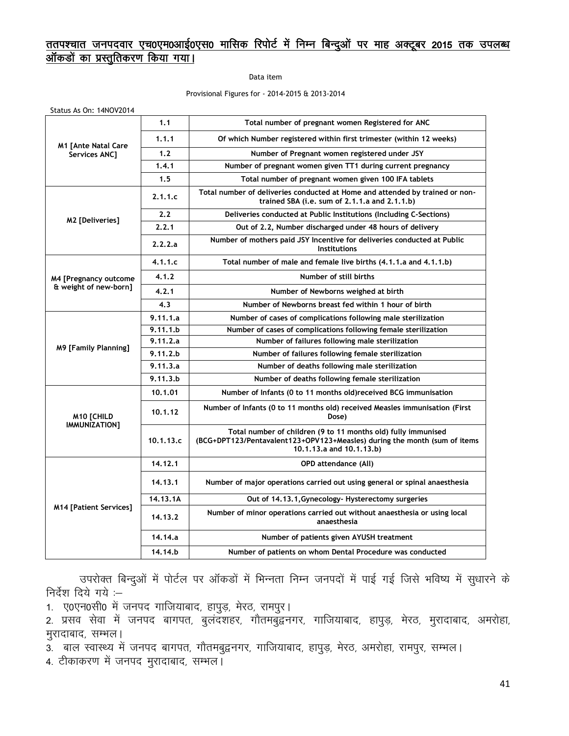## <u>ततपश्चात जनपदवार एच0एम0आई0एस0 मासिक रिपोर्ट में निम्न बिन्दुओं पर माह अक्टूबर 2015 तक उपलब्ध</u> <u>ऑकडों का प्रस्तुतिकरण किया गया।</u>

Data item

Provisional Figures for - 2014-2015 & 2013-2014

| $3.43$ $3.5$ $3.1$ . $1.40$ $2.01$          |           |                                                                                                                                                                        |
|---------------------------------------------|-----------|------------------------------------------------------------------------------------------------------------------------------------------------------------------------|
|                                             | 1.1       | Total number of pregnant women Registered for ANC                                                                                                                      |
|                                             | 1.1.1     | Of which Number registered within first trimester (within 12 weeks)                                                                                                    |
| <b>M1 [Ante Natal Care</b><br>Services ANC] | 1.2       | Number of Pregnant women registered under JSY                                                                                                                          |
|                                             | 1.4.1     | Number of pregnant women given TT1 during current pregnancy                                                                                                            |
|                                             | 1.5       | Total number of pregnant women given 100 IFA tablets                                                                                                                   |
|                                             | 2.1.1.c   | Total number of deliveries conducted at Home and attended by trained or non-<br>trained SBA (i.e. sum of 2.1.1.a and 2.1.1.b)                                          |
| M2 [Deliveries]                             | 2.2       | Deliveries conducted at Public Institutions (Including C-Sections)                                                                                                     |
|                                             | 2.2.1     | Out of 2.2, Number discharged under 48 hours of delivery                                                                                                               |
|                                             | 2.2.2.a   | Number of mothers paid JSY Incentive for deliveries conducted at Public<br><b>Institutions</b>                                                                         |
|                                             | 4.1.1.c   | Total number of male and female live births (4.1.1.a and 4.1.1.b)                                                                                                      |
| M4 [Pregnancy outcome                       | 4.1.2     | Number of still births                                                                                                                                                 |
| & weight of new-born]                       | 4.2.1     | Number of Newborns weighed at birth                                                                                                                                    |
|                                             | 4.3       | Number of Newborns breast fed within 1 hour of birth                                                                                                                   |
|                                             | 9.11.1.a  | Number of cases of complications following male sterilization                                                                                                          |
|                                             | 9.11.1.b  | Number of cases of complications following female sterilization                                                                                                        |
|                                             | 9.11.2.a  | Number of failures following male sterilization                                                                                                                        |
| <b>M9 [Family Planning]</b>                 | 9.11.2.b  | Number of failures following female sterilization                                                                                                                      |
|                                             | 9.11.3.a  | Number of deaths following male sterilization                                                                                                                          |
|                                             | 9.11.3.b  | Number of deaths following female sterilization                                                                                                                        |
|                                             | 10.1.01   | Number of Infants (0 to 11 months old) received BCG immunisation                                                                                                       |
| <b>M10 [CHILD</b>                           | 10.1.12   | Number of Infants (0 to 11 months old) received Measles immunisation (First<br>Dose)                                                                                   |
| IMMUNIZATION]                               | 10.1.13.c | Total number of children (9 to 11 months old) fully immunised<br>(BCG+DPT123/Pentavalent123+OPV123+Measles) during the month (sum of items<br>10.1.13.a and 10.1.13.b) |
|                                             | 14.12.1   | <b>OPD attendance (All)</b>                                                                                                                                            |
|                                             | 14.13.1   | Number of major operations carried out using general or spinal anaesthesia                                                                                             |
|                                             | 14.13.1A  | Out of 14.13.1, Gynecology- Hysterectomy surgeries                                                                                                                     |
| <b>M14 [Patient Services]</b>               | 14.13.2   | Number of minor operations carried out without anaesthesia or using local<br>anaesthesia                                                                               |
|                                             | 14.14.a   | Number of patients given AYUSH treatment                                                                                                                               |
|                                             | 14.14.b   | Number of patients on whom Dental Procedure was conducted                                                                                                              |

उपरोक्त बिन्दुओं में पोर्टल पर ऑकड़ों में भिन्नता निम्न जनपदों में पाई गई जिसे भविष्य में सुधारने के निर्देश दिये गये $:=$ 

1. ए0एन0सी0 में जनपद गाजियाबाद, हापुड़, मेरठ, रामपुर।

2. प्रसव सेवा में जनपद बागपत, बुलंदशहर, गौतमबुद्वनगर, गाजियाबाद, हापुड़, मेरठ, मुरादाबाद, अमरोहा, मुरादाबाद, सम्भल।

3. बाल स्वास्थ्य में जनपद बागपत, गौतमबुद्वनगर, गाजियाबाद, हापुड़, मेरठ, अमरोहा, रामपुर, सम्भल।

4. टीकाकरण में जनपद मुरादाबाद, सम्भल।

Status As On: 14NOV2014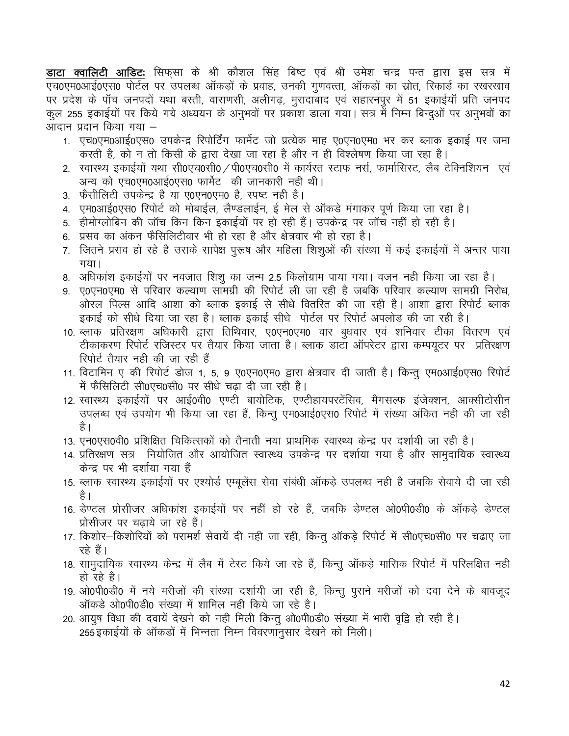**डाटा क्वालिटी आडिट:** सिफसा के श्री कौशल सिंह बिष्ट एवं श्री उमेश चन्द्र पन्त द्वारा इस सत्र में एच0एम0आई0एस0 पोर्टल पर उपलब्ध ऑकड़ों के प्रवाह, उनकी गुणवत्ता, ऑकड़ों का स्रोत, रिकार्ड का रखरखाव पर प्रदेश के पॉच जनपदों यथा बस्ती, वाराणसी, अलीगढ़, मुरादाबाद एवं सहारनपुर में 51 इकाईयॉ प्रति जनपद कुल 255 इकाईयों पर किये गये अध्ययन के अनुभवों पर प्रकाश डाला गया। सत्र में निम्न बिन्दुओं पर अनुभवों का आदान प्रदान किया गया –

- 1. एच0एम0आई0एस0 उपकेन्द्र रिपोर्टिंग फार्मेट जो प्रत्येक माह ए0एन0एम0 भर कर ब्लाक इकाई पर जमा करती है, को न तो किसी के द्वारा देखा जा रहा है और न ही विश्लेषण किया जा रहा है।
- 2. स्वास्थ्य इकाईयों यथा सी0एच0सी0 / पी0एच0सी0 में कार्यरत स्टाफ नर्स, फार्मासिस्ट, लैब टेक्निशियन एवं अन्य को एच0एम0आई0एस0 फार्मेट की जानकारी नही थी।
- 3. फैसीलिटी उपकेन्द्र है या ए0एन0एम0 है. स्पष्ट नही है।
- 4. एम0आई0एस0 रिपोर्ट को मोबाईल, लैण्डलाईन, ई मेल से ऑकडे मंगाकर पर्ण किया जा रहा है।
- 5. हीमोग्लोबिन की जॉच किन किन इकाईयों पर हो रही हैं। उपकेन्द्र पर जॉच नहीं हो रही है।
- 6.) प्रसव का अंकन फैसिलिटीवार भी हो रहा है और क्षेत्रवार भी हो रहा है।
- 7. जितने प्रसव हो रहे है उसके सापेक्ष पुरूष और महिला शिशुओं की संख्या में कई इकाईयों में अन्तर पाया गया।
- 8. अधिकांश इकाईयों पर नवजात शिशु का जन्म 2.5 किलोग्राम पाया गया। वजन नही किया जा रहा है।
- 9. ए0एन0एम0 से परिवार कल्याण सामग्री की रिपोर्ट ली जा रही है जबकि परिवार कल्याण सामग्री निरोध, ओरल पिल्स आदि आशा को ब्लाक इकाई से सीधे वितरित की जा रही है। आशा द्वारा रिपोर्ट ब्लाक इकाई को सीधे दिया जा रहा है। ब्लाक इकाई सीधे पोर्टल पर रिपोर्ट अपलोड की जा रही है।
- 10. ब्लाक प्रतिरक्षण अधिकारी द्वारा तिथिवार, ए0एन0एम0 वार बुधवार एवं शनिवार टीका वितरण एवं टीकाकरण रिपोर्ट रजिस्टर पर तैयार किया जाता है। ब्लाक डाटा ऑपरेटर द्वारा कम्पयुटर पर प्रतिरक्षण रिपोर्ट तैयार नही की जा रही हैं
- 11. विटामिन ए की रिपोर्ट डोज 1, 5, 9 ए0एन0एम0 द्वारा क्षेत्रवार दी जाती है। किन्तु एम0आई0एस0 रिपोर्ट में फैसिलिटी सी0एच0सी0 पर सीधे चढा दी जा रही है।
- 12. स्वास्थ्य इकाईयों पर आई0वी0 एण्टी बायोटिक, एण्टीहायपरटेंसिव, मैगसल्फ इंजेक्शन, आक्सीटोसीन उपलब्ध एवं उपयोग भी किया जा रहा हैं, किन्तु एम0आई0एस0 रिपोर्ट में संख्या अंकित नही की जा रही है ।
- 13. एन0एस0वी0 प्रशिक्षित चिकित्सकों को तैनाती नया प्राथमिक स्वास्थ्य केन्द्र पर दर्शायी जा रही है।
- 14. प्रतिरक्षण सत्र नियोजित और आयोजित स्वास्थ्य उपकेन्द्र पर दर्शाया गया है और सामुदायिक स्वास्थ्य केन्द्र पर भी दर्शाया गया हैं
- 15. ब्लाक स्वास्थ्य इकाईयों पर एश्योर्ड एम्बुलेंस सेवा संबंधी ऑकडे उपलब्ध नही है जबकि सेवाये दी जा रही है ।
- 16. डेण्टल प्रोसीजर अधिकांश इकाईयों पर नहीं हो रहे हैं, जबकि डेण्टल ओ0पी0डी0 के ऑकडे डेण्टल प्रोसीजर पर चढाये जा रहे हैं।
- 17. किशोर—किशोरियों को परामर्श सेवायें दी नही जा रही, किन्तु ऑकड़े रिपोर्ट में सी0एच0सी0 पर चढाए जा रहे हैं।
- 18. सामुदायिक स्वास्थ्य केन्द्र में लैब में टेस्ट किये जा रहे हैं, किन्तु ऑकड़े मासिक रिपोर्ट में परिलक्षित नही हो रहे है।
- 19. ओ0पी0डी0 में नये मरीजों की संख्या दर्शायी जा रही है, किन्तु पुराने मरीजों को दवा देने के बावजूद ऑकड़े ओ0पी0डी0 संख्या में शामिल नही किये जा रहे है।
- 20. आयुष विधा की दवायें देखने को नही मिली किन्तु ओ0पी0डी0 संख्या में भारी वृद्वि हो रही है। 255 इकाईयों के ऑकड़ों में भिन्नता निम्न विवरणानुसार देखने को मिली।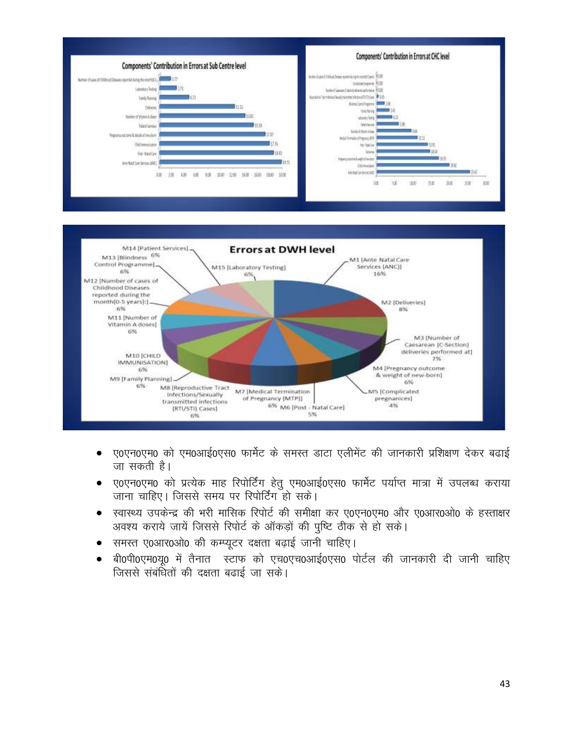

- ए0एन0एम0 को एम0आई0एस0 फार्मेट के समस्त डाटा एलीमेंट की जानकारी प्रशिक्षण देकर बढाई  $\bullet$ जा सकती है।
- ए0एन0एम0 को प्रत्येक माह रिपोर्टिंग हेतु एम0आई0एस0 फार्मेट पर्याप्त मात्रा में उपलब्ध कराया  $\bullet$ जाना चाहिए। जिससे समय पर रिपोर्टिंग हो सके।
- स्वास्थ्य उपकेन्द्र की भरी मासिक रिपोर्ट की समीक्षा कर ए0एन0एम0 और ए0आर0ओ0 के हस्ताक्षर  $\bullet$ अवश्य कराये जायें जिससे रिपोर्ट के ऑकड़ों की पुष्टि ठीक से हो सके।
- समस्त ए0आर0ओ0 की कम्प्यूटर दक्षता बढ़ाई जानी चाहिए।
- बी0पी0एम0यृ0 में तैनात स्टाफ को एच0एच0आई0एस0 पोर्टल की जानकारी दी जानी चाहिए  $\bullet$ जिससे संबंधितों की दक्षता बढाई जा सके।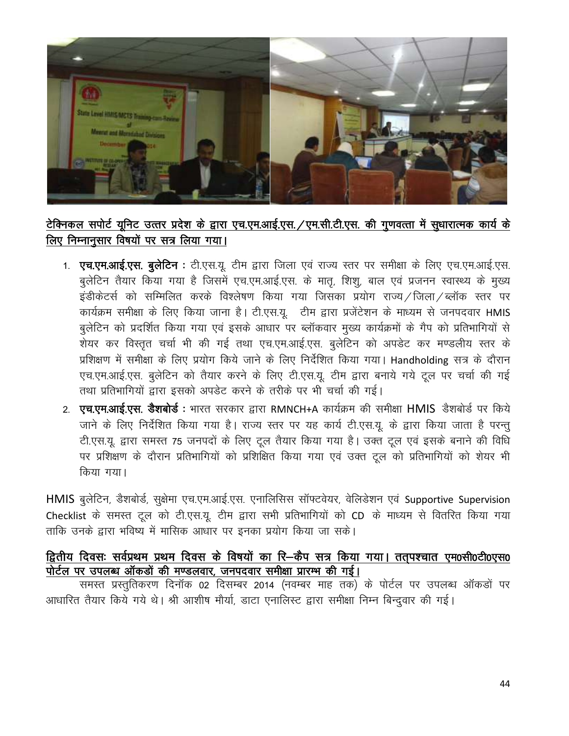

# टेक्निकल सपोर्ट यूनिट उत्तर प्रदेश के द्वारा एच.एम.आई.एस. /एम.सी.टी.एस. की गूणवत्ता में सूधारात्मक कार्य के लिए निम्नानुसार विषयों पर सत्र लिया गया।

- 1. एच.एम.आई.एस. बुलेटिन : टी.एस.यू. टीम द्वारा जिला एवं राज्य स्तर पर समीक्षा के लिए एच.एम.आई.एस. बुलेटिन तैयार किया गया है जिसमें एच.एम.आई.एस. के मातृ, शिशु, बाल एवं प्रजनन स्वास्थ्य के मुख्य इंडीकेटर्स को सम्मिलित करके विश्लेषण किया गया जिसका प्रयोग राज्य / जिला / ब्लॉक स्तर पर कार्यक्रम समीक्षा के लिए किया जाना है। टी.एस.यू. टीम द्वारा प्रजेंटेशन के माध्यम से जनपदवार HMIS बलेटिन को प्रदर्शित किया गया एवं इसके आधार पर ब्लॉकवार मुख्य कार्यक्रमों के गैप को प्रतिभागियों से शेयर कर विस्तृत चर्चा भी की गई तथा एच.एम.आई.एस. बुलेटिन को अपडेट कर मण्डलीय स्तर के प्रशिक्षण में समीक्षा के लिए प्रयोग किये जाने के लिए निर्देशित किया गया। Handholding सत्र के दौरान एच.एम.आई.एस. बुलेटिन को तैयार करने के लिए टी.एस.यू. टीम द्वारा बनाये गये टूल पर चर्चा की गई तथा प्रतिभागियों द्वारा इसको अपडेट करने के तरीके पर भी चर्चा की गई।
- 2. **एच.एम.आई.एस. डैशबोर्ड** : भारत सरकार द्वारा RMNCH+A कार्यक्रम की समीक्षा **HMIS** डैशबोर्ड पर किये जाने के लिए निर्देशित किया गया है। राज्य स्तर पर यह कार्य टी.एस.यू. के द्वारा किया जाता है परन्तु टी.एस.यू. द्वारा समस्त 75 जनपदों के लिए टूल तैयार किया गया है। उक्त टूल एवं इसके बनाने की विधि पर प्रशिक्षण के दौरान प्रतिभागियों को प्रशिक्षित किया गया एवं उक्त टूल को प्रतिभागियों को शेयर भी किया गया।

HMIS बुलेटिन, डैशबोर्ड, सुक्षेमा एच.एम.आई.एस. एनालिसिस सॉफ्टवेयर, वेलिडेशन एवं Supportive Supervision Checklist के समस्त टूल को टी.एस.यू. टीम द्वारा सभी प्रतिभागियों को CD के माध्यम से वितरित किया गया ताकि उनके द्वारा भविष्य में मासिक आधार पर इनका प्रयोग किया जा सके।

## द्वितीय दिवसः सर्वप्रथम प्रथम दिवस के विषयों का रि-कैप सत्र किया गया। तत्पश्चात एम0सी0टी0एस0 पोर्टल पर उपलब्ध ऑकडों की मण्डलवार, जनपदवार समीक्षा प्रारम्भ की गई।

समस्त प्रस्तुतिकरण दिनॉक 02 दिसम्बर 2014 (नवम्बर माह तक) के पोर्टल पर उपलब्ध ऑकड़ों पर आधारित तैयार किये गये थे। श्री आशीष मौर्या, डाटा एनालिस्ट द्वारा समीक्षा निम्न बिन्दुवार की गई।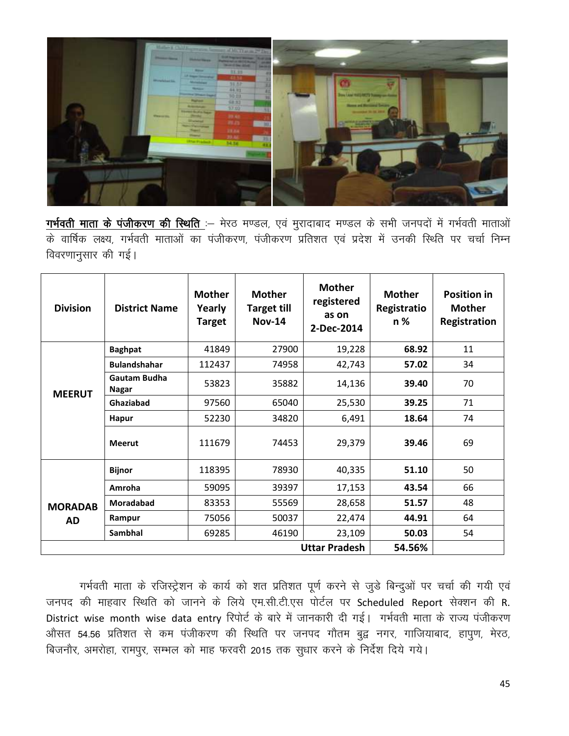

<u>गर्भवती माता के पंजीकरण की स्थिति :</u>— मेरठ मण्डल, एवं मुरादाबाद मण्डल के सभी जनपदों में गर्भवती माताओं के वार्षिक लक्ष्य, गर्भवती माताओं का पंजीकरण, पंजीकरण प्रतिशत एवं प्रदेश में उनकी स्थिति पर चर्चा निम्न विवरणानुसार की गई।

| <b>Division</b>             | <b>District Name</b>  | <b>Mother</b><br>Yearly<br>Target | <b>Mother</b><br><b>Target till</b><br><b>Nov-14</b> | <b>Mother</b><br>registered<br>as on<br>2-Dec-2014 | <b>Mother</b><br>Registratio<br>$n\%$ | <b>Position in</b><br><b>Mother</b><br>Registration |
|-----------------------------|-----------------------|-----------------------------------|------------------------------------------------------|----------------------------------------------------|---------------------------------------|-----------------------------------------------------|
|                             | <b>Baghpat</b>        | 41849                             | 27900                                                | 19,228                                             | 68.92                                 | 11                                                  |
|                             | <b>Bulandshahar</b>   | 112437                            | 74958                                                | 42,743                                             | 57.02                                 | 34                                                  |
| <b>MEERUT</b>               | Gautam Budha<br>Nagar | 53823                             | 35882                                                | 14,136                                             | 39.40                                 | 70                                                  |
|                             | Ghaziabad             | 97560                             | 65040                                                | 25,530                                             | 39.25                                 | 71                                                  |
|                             | <b>Hapur</b>          | 52230                             | 34820                                                | 6,491                                              | 18.64                                 | 74                                                  |
|                             | <b>Meerut</b>         | 111679                            | 74453                                                | 29,379                                             | 39.46                                 | 69                                                  |
|                             | <b>Bijnor</b>         | 118395                            | 78930                                                | 40,335                                             | 51.10                                 | 50                                                  |
| <b>MORADAB</b><br><b>AD</b> | Amroha                | 59095                             | 39397                                                | 17,153                                             | 43.54                                 | 66                                                  |
|                             | <b>Moradabad</b>      | 83353                             | 55569                                                | 28,658                                             | 51.57                                 | 48                                                  |
|                             | Rampur                | 75056                             | 50037                                                | 22,474                                             | 44.91                                 | 64                                                  |
|                             | Sambhal               | 69285                             | 46190                                                | 23,109                                             | 50.03                                 | 54                                                  |
|                             |                       |                                   |                                                      | <b>Uttar Pradesh</b>                               | 54.56%                                |                                                     |

गर्भवती माता के रजिस्ट्रेशन के कार्य को शत प्रतिशत पूर्ण करने से जुडे बिन्दुओं पर चर्चा की गयी एवं जनपद की माहवार स्थिति को जानने के लिये एम.सी.टी.एस पोर्टल पर Scheduled Report सेक्शन की R. District wise month wise data entry रिपोर्ट के बारे में जानकारी दी गई। गर्भवती माता के राज्य पंजीकरण औसत 54.56 प्रतिशत से कम पंजीकरण की स्थिति पर जनपद गौतम बुद्व नगर, गाजियाबाद, हापुण, मेरठ, बिजनौर, अमरोहा, रामपुर, सम्भल को माह फरवरी 2015 तक सुधार करने के निर्देश दिये गये।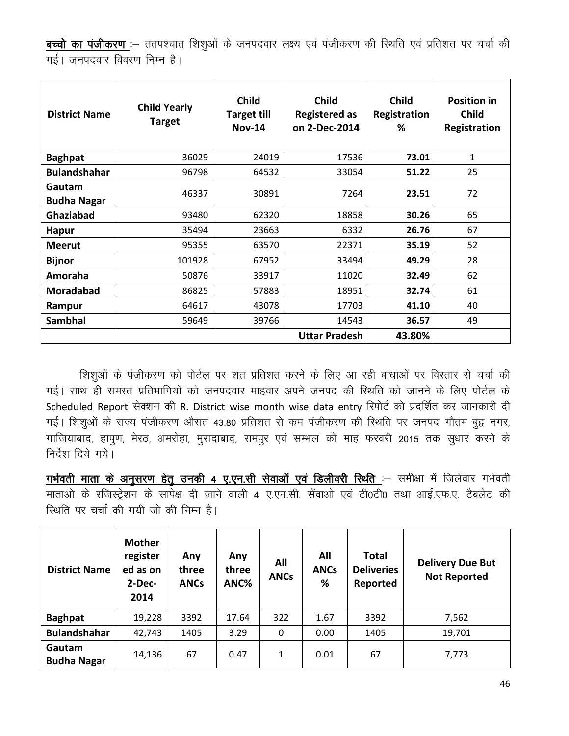बच्चो का पंजीकरण :- ततपश्चात शिश्ओं के जनपदवार लक्ष्य एवं पंजीकरण की स्थिति एवं प्रतिशत पर चर्चा की गई। जनपदवार विवरण निम्न है।

| <b>District Name</b>         | <b>Child Yearly</b><br><b>Target</b> | <b>Child</b><br><b>Target till</b><br><b>Nov-14</b> | <b>Child</b><br><b>Registered as</b><br>on 2-Dec-2014 | <b>Child</b><br>Registration<br>℅ | <b>Position in</b><br><b>Child</b><br>Registration |
|------------------------------|--------------------------------------|-----------------------------------------------------|-------------------------------------------------------|-----------------------------------|----------------------------------------------------|
| <b>Baghpat</b>               | 36029                                | 24019                                               | 17536                                                 | 73.01                             | $\mathbf{1}$                                       |
| <b>Bulandshahar</b>          | 96798                                | 64532                                               | 33054                                                 | 51.22                             | 25                                                 |
| Gautam<br><b>Budha Nagar</b> | 46337                                | 30891                                               | 7264                                                  | 23.51                             | 72                                                 |
| Ghaziabad                    | 93480                                | 62320                                               | 18858                                                 | 30.26                             | 65                                                 |
| <b>Hapur</b>                 | 35494                                | 23663                                               | 6332                                                  | 26.76                             | 67                                                 |
| <b>Meerut</b>                | 95355                                | 63570                                               | 22371                                                 | 35.19                             | 52                                                 |
| <b>Bijnor</b>                | 101928                               | 67952                                               | 33494                                                 | 49.29                             | 28                                                 |
| Amoraha                      | 50876                                | 33917                                               | 11020                                                 | 32.49                             | 62                                                 |
| <b>Moradabad</b>             | 86825                                | 57883                                               | 18951                                                 | 32.74                             | 61                                                 |
| Rampur                       | 64617                                | 43078                                               | 17703                                                 | 41.10                             | 40                                                 |
| <b>Sambhal</b>               | 59649                                | 39766                                               | 14543                                                 | 36.57                             | 49                                                 |
|                              |                                      | 43.80%                                              |                                                       |                                   |                                                    |

शिशुओं के पंजीकरण को पोर्टल पर शत प्रतिशत करने के लिए आ रही बाधाओं पर विस्तार से चर्चा की गई। साथ ही समस्त प्रतिभागियों को जनपदवार माहवार अपने जनपद की स्थिति को जानने के लिए पोर्टल के Scheduled Report सेक्शन की R. District wise month wise data entry रिपोर्ट को प्रदर्शित कर जानकारी दी गई। शिशुओं के राज्य पंजीकरण औसत 43.80 प्रतिशत से कम पंजीकरण की स्थिति पर जनपद गौतम बुद्व नगर, गाजियाबाद, हापुण, मेरठ, अमरोहा, मुरादाबाद, रामपुर एवं सम्भल को माह फरवरी 2015 तक सुधार करने के निर्देश दिये गये।

गर्भवती माता के अनुसरण हेतु उनकी 4 ए.एन.सी सेवाओं एवं डिलीवरी स्थिति :- समीक्षा में जिलेवार गर्भवती माताओं के रजिस्ट्रेशन के सापेक्ष दी जाने वाली 4 ए.एन.सी. सेंवाओं एवं टी0टी0 तथा आई.एफ.ए. टैबलेट की रिथति पर चर्चा की गयी जो की निम्न है।

| <b>District Name</b>         | <b>Mother</b><br>register<br>ed as on<br>$2-Dec-$<br>2014 | Any<br>three<br><b>ANCs</b> | Any<br>three<br>ANC% | All<br><b>ANCs</b> | All<br><b>ANCs</b><br>% | <b>Total</b><br><b>Deliveries</b><br>Reported | <b>Delivery Due But</b><br><b>Not Reported</b> |
|------------------------------|-----------------------------------------------------------|-----------------------------|----------------------|--------------------|-------------------------|-----------------------------------------------|------------------------------------------------|
| <b>Baghpat</b>               | 19,228                                                    | 3392                        | 17.64                | 322                | 1.67                    | 3392                                          | 7,562                                          |
| <b>Bulandshahar</b>          | 42,743                                                    | 1405                        | 3.29                 | 0                  | 0.00                    | 1405                                          | 19,701                                         |
| Gautam<br><b>Budha Nagar</b> | 14,136                                                    | 67                          | 0.47                 | 1                  | 0.01                    | 67                                            | 7,773                                          |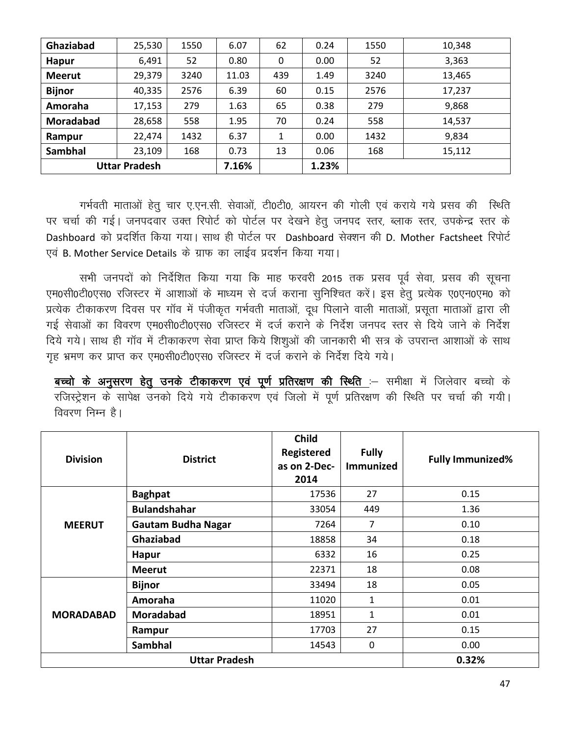| Ghaziabad            | 25,530 | 1550  | 6.07  | 62          | 0.24 | 1550 | 10,348 |
|----------------------|--------|-------|-------|-------------|------|------|--------|
| <b>Hapur</b>         | 6,491  | 52    | 0.80  | $\mathbf 0$ | 0.00 | 52   | 3,363  |
| <b>Meerut</b>        | 29,379 | 3240  | 11.03 | 439         | 1.49 | 3240 | 13,465 |
| <b>Bijnor</b>        | 40,335 | 2576  | 6.39  | 60          | 0.15 | 2576 | 17,237 |
| Amoraha              | 17,153 | 279   | 1.63  | 65          | 0.38 | 279  | 9,868  |
| Moradabad            | 28,658 | 558   | 1.95  | 70          | 0.24 | 558  | 14,537 |
| Rampur               | 22,474 | 1432  | 6.37  | 1           | 0.00 | 1432 | 9,834  |
| <b>Sambhal</b>       | 23,109 | 168   | 0.73  | 13          | 0.06 | 168  | 15,112 |
| <b>Uttar Pradesh</b> |        | 7.16% |       | 1.23%       |      |      |        |

गर्भवती माताओं हेत् चार ए.एन.सी. सेवाओं, टी0टी0, आयरन की गोली एवं कराये गये प्रसव की स्थिति पर चर्चा की गई। जनपदवार उक्त रिपोर्ट को पोर्टल पर देखने हेतु जनपद स्तर, ब्लाक स्तर, उपकेन्द्र स्तर के Dashboard को प्रदर्शित किया गया। साथ ही पोर्टल पर Dashboard सेक्शन की D. Mother Factsheet रिपोर्ट एवं B. Mother Service Details के ग्राफ का लाईव प्रदर्शन किया गया।

सभी जनपदों को निर्देशित किया गया कि माह फरवरी 2015 तक प्रसव पूर्व सेवा, प्रसव की सूचना एम0सी0टी0एस0 रजिस्टर में आशाओं के माध्यम से दर्ज कराना सुनिश्चित करें। इस हेतू प्रत्येक ए0एन0एम0 को प्रत्येक टीकाकरण दिवस पर गॉव में पंजीकृत गर्भवती माताओं, दूध पिलाने वाली माताओं, प्रसूता माताओं द्वारा ली गई सेवाओं का विवरण एम0सी0टी0एस0 रजिस्टर में दर्ज कराने के निर्देश जनपद स्तर से दिये जाने के निर्देश दिये गये। साथ ही गॉव में टीकाकरण सेवा प्राप्त किये शिशुओं की जानकारी भी सत्र के उपरान्त आशाओं के साथ गृह भ्रमण कर प्राप्त कर एम0सी0टी0एस0 रजिस्टर में दर्ज कराने के निर्देश दिये गये।

<u>बच्चो के अनुसरण हेतु उनके टीकाकरण एवं पूर्ण प्रतिरक्षण की स्थिति :</u>— समीक्षा में जिलेवार बच्चो के रजिस्ट्रेशन के सापेक्ष उनको दिये गये टीकाकरण एवं जिलो में पूर्ण प्रतिरक्षण की स्थिति पर चर्चा की गयी। विवरण निम्न है।

| <b>Division</b>  | <b>District</b>           | <b>Child</b><br>Registered<br>as on 2-Dec-<br>2014 | <b>Fully</b><br><b>Immunized</b> | <b>Fully Immunized%</b> |
|------------------|---------------------------|----------------------------------------------------|----------------------------------|-------------------------|
|                  | <b>Baghpat</b>            | 17536                                              | 27                               | 0.15                    |
|                  | <b>Bulandshahar</b>       | 33054                                              | 449                              | 1.36                    |
| <b>MEERUT</b>    | <b>Gautam Budha Nagar</b> | 7264                                               | 7                                | 0.10                    |
|                  | <b>Ghaziabad</b>          | 18858                                              | 34                               | 0.18                    |
|                  | <b>Hapur</b>              | 6332                                               | 16                               | 0.25                    |
|                  | <b>Meerut</b>             | 22371                                              | 18                               | 0.08                    |
|                  | <b>Bijnor</b>             | 33494                                              | 18                               | 0.05                    |
|                  | Amoraha                   | 11020                                              | 1                                | 0.01                    |
| <b>MORADABAD</b> | <b>Moradabad</b>          | 18951                                              | 1                                | 0.01                    |
|                  | Rampur                    | 17703                                              | 27                               | 0.15                    |
|                  | <b>Sambhal</b>            | 14543                                              | 0                                | 0.00                    |
|                  | 0.32%                     |                                                    |                                  |                         |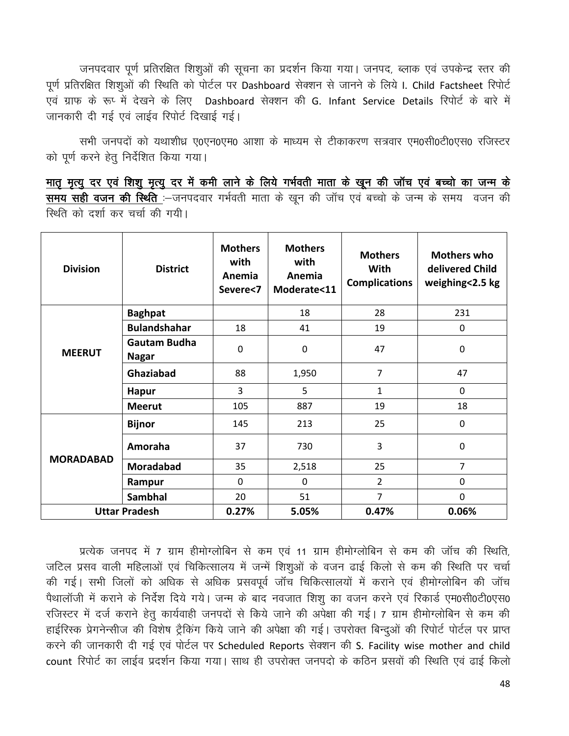जनपदवार पूर्ण प्रतिरक्षित शिशुओं की सूचना का प्रदर्शन किया गया। जनपद, ब्लाक एवं उपकेन्द्र स्तर की पूर्ण प्रतिरक्षित शिशुओं की स्थिति को पोर्टल पर Dashboard सेक्शन से जानने के लिये I. Child Factsheet रिपोर्ट एवं ग्राफ के रूप में देखने के लिए Dashboard सेक्शन की G. Infant Service Details रिपोर्ट के बारे में जानकारी दी गई एवं लाईव रिपोर्ट दिखाई गई।

सभी जनपदों को यथाशीध्र ए0एन0एम0 आशा के माध्यम से टीकाकरण सत्रवार एम0सी0टी0एस0 रजिस्टर को पूर्ण करने हेतु निर्देशित किया गया।

<u>मातृ मृत्यु दर एवं शिशु मृत्यु दर में कमी लाने के लिये गर्भवती माता के खून की जॉच एवं बच्चो का जन्म के</u> समय सही वजन की स्थिति :-जनपदवार गर्भवती माता के खून की जॉच एवं बच्चो के जन्म के समय वजन की रिश्ति को दर्शा कर चर्चा की गयी।

| <b>Division</b>  | <b>District</b>                     | <b>Mothers</b><br>with<br>Anemia<br>Severe<7 | <b>Mothers</b><br>with<br>Anemia<br>Moderate<11 | <b>Mothers</b><br>With<br><b>Complications</b> | <b>Mothers who</b><br>delivered Child<br>weighing<2.5 kg |
|------------------|-------------------------------------|----------------------------------------------|-------------------------------------------------|------------------------------------------------|----------------------------------------------------------|
|                  | <b>Baghpat</b>                      |                                              | 18                                              | 28                                             | 231                                                      |
|                  | <b>Bulandshahar</b>                 | 18                                           | 41                                              | 19                                             | $\mathbf 0$                                              |
| <b>MEERUT</b>    | <b>Gautam Budha</b><br><b>Nagar</b> | $\mathbf 0$                                  | $\mathbf 0$                                     | 47                                             | $\mathbf 0$                                              |
|                  | Ghaziabad                           | 88                                           | 1,950                                           | $\overline{7}$                                 | 47                                                       |
|                  | <b>Hapur</b>                        | 3                                            | 5                                               | $\mathbf{1}$                                   | $\mathbf 0$                                              |
|                  | <b>Meerut</b>                       | 105                                          | 887                                             | 19                                             | 18                                                       |
|                  | <b>Bijnor</b>                       | 145                                          | 213                                             | 25                                             | $\mathbf 0$                                              |
| <b>MORADABAD</b> | Amoraha                             | 37                                           | 730                                             | 3                                              | $\mathbf 0$                                              |
|                  | <b>Moradabad</b>                    | 35                                           | 2,518                                           | 25                                             | $\overline{7}$                                           |
|                  | Rampur                              | $\Omega$                                     | $\mathbf 0$                                     | $\overline{2}$                                 | 0                                                        |
|                  | <b>Sambhal</b>                      | 20                                           | 51                                              | $\overline{7}$                                 | 0                                                        |
|                  | <b>Uttar Pradesh</b>                | 0.27%                                        | 5.05%                                           | 0.47%                                          | 0.06%                                                    |

प्रत्येक जनपद में 7 ग्राम हीमोग्लोबिन से कम एवं 11 ग्राम हीमोग्लोबिन से कम की जॉच की स्थिति, जटिल प्रसव वाली महिलाओं एवं चिकित्सालय में जन्में शिशुओं के वजन ढाई किलो से कम की स्थिति पर चर्चा की गई। सभी जिलों को अधिक से अधिक प्रसवपूर्व जॉच चिकित्सालयों में कराने एवं हीमोग्लोबिन की जॉच पैथालॉजी में कराने के निर्देश दिये गये। जन्म के बाद नवजात शिशू का वजन करने एवं रिकार्ड एम0सी0टी0एस0 रजिस्टर में दर्ज कराने हेतु कार्यवाही जनपदों से किये जाने की अपेक्षा की गई। 7 ग्राम हीमोग्लोबिन से कम की हाईरिस्क प्रेगनेन्सीज की विशेष ट्रैकिंग किये जाने की अपेक्षा की गई। उपरोक्त बिन्दुओं की रिपोर्ट पोर्टल पर प्राप्त करने की जानकारी दी गई एवं पोर्टल पर Scheduled Reports सेक्शन की S. Facility wise mother and child count रिपोर्ट का लाईव प्रदर्शन किया गया। साथ ही उपरोक्त जनपदो के कठिन प्रसवों की स्थिति एवं ढाई किलो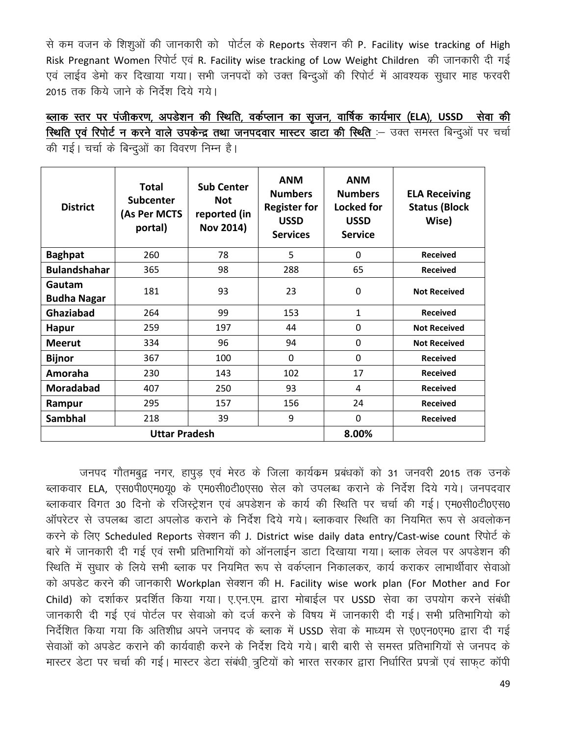से कम वजन के शिशुओं की जानकारी को पोर्टल के Reports सेक्शन की P. Facility wise tracking of High Risk Pregnant Women रिपोर्ट एवं R. Facility wise tracking of Low Weight Children की जानकारी दी गई एवं लाईव डेमो कर दिखाया गया। सभी जनपदों को उक्त बिन्दुओं की रिपोर्ट में आवश्यक सुधार माह फरवरी 2015 तक किये जाने के निर्देश दिये गये।

<u>ब्लाक स्तर पर पंजीकरण, अपडेशन की स्थिति, वर्कप्लान का सृजन, वार्षिक कार्यभार (ELA), USSD सेवा की</u> रिथति एवं रिपोर्ट न करने वाले उपकेन्द्र तथा जनपदवार मास्टर डाटा की स्थिति :- उक्त समस्त बिन्दुओं पर चर्चा की गई। चर्चा के बिन्दओं का विवरण निम्न है।

| <b>District</b>              | <b>Total</b><br><b>Subcenter</b><br>(As Per MCTS<br>portal) | <b>Sub Center</b><br><b>Not</b><br>reported (in<br><b>Nov 2014)</b> | <b>ANM</b><br><b>Numbers</b><br><b>Register for</b><br><b>USSD</b><br><b>Services</b> | <b>ANM</b><br><b>Numbers</b><br><b>Locked for</b><br><b>USSD</b><br><b>Service</b> | <b>ELA Receiving</b><br><b>Status (Block</b><br>Wise) |
|------------------------------|-------------------------------------------------------------|---------------------------------------------------------------------|---------------------------------------------------------------------------------------|------------------------------------------------------------------------------------|-------------------------------------------------------|
| <b>Baghpat</b>               | 260                                                         | 78                                                                  | 5                                                                                     | $\mathbf{0}$                                                                       | <b>Received</b>                                       |
| <b>Bulandshahar</b>          | 365                                                         | 98                                                                  | 288                                                                                   | 65                                                                                 | <b>Received</b>                                       |
| Gautam<br><b>Budha Nagar</b> | 181                                                         | 93                                                                  | 23                                                                                    | $\mathbf 0$                                                                        | <b>Not Received</b>                                   |
| <b>Ghaziabad</b>             | 264                                                         | 99                                                                  | 153                                                                                   | 1                                                                                  | <b>Received</b>                                       |
| <b>Hapur</b>                 | 259                                                         | 197                                                                 | 44                                                                                    | $\mathbf 0$                                                                        | <b>Not Received</b>                                   |
| <b>Meerut</b>                | 334                                                         | 96                                                                  | 94                                                                                    | $\Omega$                                                                           | <b>Not Received</b>                                   |
| <b>Bijnor</b>                | 367                                                         | 100                                                                 | 0                                                                                     | $\mathbf 0$                                                                        | <b>Received</b>                                       |
| Amoraha                      | 230                                                         | 143                                                                 | 102                                                                                   | 17                                                                                 | <b>Received</b>                                       |
| <b>Moradabad</b>             | 407                                                         | 250                                                                 | 93                                                                                    | 4                                                                                  | <b>Received</b>                                       |
| Rampur                       | 295                                                         | 157                                                                 | 156                                                                                   | 24                                                                                 | <b>Received</b>                                       |
| <b>Sambhal</b>               | 218                                                         | 39                                                                  | 9                                                                                     | $\Omega$                                                                           | <b>Received</b>                                       |
|                              | <b>Uttar Pradesh</b>                                        | 8.00%                                                               |                                                                                       |                                                                                    |                                                       |

जनपद गौतमबुद्व नगर, हापुड़ एवं मेरठ के जिला कार्यक्रम प्रबंधकों को 31 जनवरी 2015 तक उनके ब्लाकवार ELA, एस0पी0एम0यू0 के एम0सी0टी0एस0 सेल को उपलब्ध कराने के निर्देश दिये गये। जनपदवार ब्लाकवार विगत 30 दिनो के रजिस्ट्रेशन एवं अपडेशन के कार्य की स्थिति पर चर्चा की गई। एम0सी0टी0एस0 ऑपरेटर से उपलब्ध डाटा अपलोड कराने के निर्देश दिये गये। ब्लाकवार स्थिति का नियमित रूप से अवलोकन करने के लिए Scheduled Reports सेक्शन की J. District wise daily data entry/Cast-wise count रिपोर्ट के बारे में जानकारी दी गई एवं सभी प्रतिभागियों को ऑनलाईन डाटा दिखाया गया। ब्लाक लेवल पर अपडेशन की रिथति में सुधार के लिये सभी ब्लाक पर नियमित रूप से वर्कप्लान निकालकर, कार्य कराकर लाभार्थीवार सेवाओ को अपडेट करने की जानकारी Workplan सेक्शन की H. Facility wise work plan (For Mother and For Child) को दर्शाकर प्रदर्शित किया गया। ए.एन.एम. द्वारा मोबाईल पर USSD सेवा का उपयोग करने संबंधी जानकारी दी गई एवं पोर्टल पर सेवाओ को दर्ज करने के विषय में जानकारी दी गई। सभी प्रतिभागियो को निर्देशित किया गया कि अतिशीध्र अपने जनपद के ब्लाक में USSD सेवा के माध्यम से ए0एन0एम0 द्वारा दी गई सेवाओं को अपडेट कराने की कार्यवाही करने के निर्देश दिये गये। बारी बारी से समस्त प्रतिभागियों से जनपद के <u>मास्टर डेटा पर चर्चा की गई। मास्टर डेटा संबंधी त्रुटियों को भारत सरकार द्वारा निर्धारित प्रपत्रों एवं साफट कॉपी</u>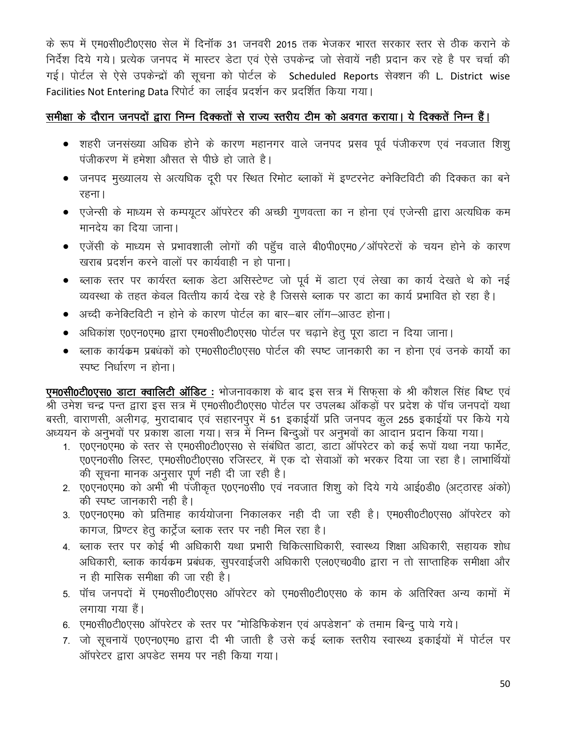के रूप में एम0सी0टी0एस0 सेल में दिनॉक 31 जनवरी 2015 तक भेजकर भारत सरकार स्तर से ठीक कराने के निर्देश दिये गये। प्रत्येक जनपद में मास्टर डेटा एवं ऐसे उपकेन्द्र जो सेवायें नहीं प्रदान कर रहे है पर चर्चा की गई। पोर्टल से ऐसे उपकेन्द्रों की सूचना को पोर्टल के Scheduled Reports सेक्शन की L. District wise Facilities Not Entering Data रिपोर्ट का लाईव प्रदर्शन कर प्रदर्शित किया गया।

## समीक्षा के दौरान जनपदों द्वारा निम्न दिक्कतों से राज्य स्तरीय टीम को अवगत कराया। ये दिक्कतें निम्न हैं।

- शहरी जनसंख्या अधिक होने के कारण महानगर वाले जनपद प्रसव पूर्व पंजीकरण एवं नवजात शिश् पंजीकरण में हमेशा औसत से पीछे हो जाते है।
- जनपद मुख्यालय से अत्यधिक दूरी पर स्थित रिमोट ब्लाकों में इण्टरनेट क्नेक्टिविटी की दिक्कत का बने रहना।
- एजेन्सी के माध्यम से कम्पयूटर ऑपरेटर की अच्छी गुणवत्ता का न होना एवं एजेन्सी द्वारा अत्यधिक कम मानदेय का दिया जाना।
- एजेंसी के माध्यम से प्रभावशाली लोगों की पहुँच वाले बी0पी0एम0 /ऑपरेटरों के चयन होने के कारण खराब प्रदर्शन करने वालों पर कार्यवाही न हो पाना।
- ब्लाक स्तर पर कार्यरत ब्लाक डेटा असिस्टेण्ट जो पूर्व में डाटा एवं लेखा का कार्य देखते थे को नई व्यवस्था के तहत केवल वित्तीय कार्य देख रहे है जिससे ब्लाक पर डाटा का कार्य प्रभावित हो रहा है।
- अच्दी कनेक्टिविटी न होने के कारण पोर्टल का बार—बार लॉग—आउट होना।
- अधिकांश ए0एन0एम0 द्वारा एम0सी0टी0एस0 पोर्टल पर चढाने हेतु पुरा डाटा न दिया जाना।
- ब्लाक कार्यक्रम प्रबंधकों को एम0सी0टी0एस0 पोर्टल की स्पष्ट जानकारी का न होना एवं उनके कार्यो का स्पष्ट निर्धारण न होना।

**एम0सी0टी0एस0 डाटा क्वालिटी ऑडिट** : भोजनावकाश के बाद इस सत्र में सिफसा के श्री कौशल सिंह बिष्ट एवं श्री उमेश चन्द्र पन्त द्वारा इस सत्र में एम0सी0टी0एस0 पोर्टल पर उपलब्ध ऑकड़ों पर प्रदेश के पॉच जनपदों यथा बस्ती, वाराणसी, अलीगढ़, मुरादाबाद एवं सहारनपुर में 51 इकाईयॉ प्रति जनपद कुल 255 इकाईयों पर किये गये अध्ययन के अनुभवों पर प्रकाश डाला गया। सत्र में निम्न बिन्दुओं पर अनुभवों का आदान प्रदान किया गया।

- 1. ए0एन0एम0 के स्तर से एम0सी0टी0एस0 से संबंधित डाटा, डाटा ऑपरेटर को कई रूपों यथा नया फार्मेट, ए0एन0सी0 लिस्ट, एम0सी0टी0एस0 रजिस्टर, में एक दो सेवाओं को भरकर दिया जा रहा है। लाभार्थियों की सूचना मानक अनुसार पूर्ण नही दी जा रही है।
- 2. ए0एन0एम0 को अभी भी पंजीकृत ए0एन0सी0 एवं नवजात शिशू को दिये गये आई0डी0 (अटठारह अंको) की स्पष्ट जानकारी नही है।
- 3. ए0एन0एम0 को प्रतिमाह कार्ययोजना निकालकर नही दी जा रही है। एम0सी0टी0एस0 ऑपरेटर को कागज, प्रिण्टर हेतु कार्ट्रेज ब्लाक स्तर पर नही मिल रहा है।
- 4. ब्लाक स्तर पर कोई भी अधिकारी यथा प्रभारी चिकित्साधिकारी, स्वास्थ्य शिक्षा अधिकारी, सहायक शोध अधिकारी, ब्लाक कार्यक्रम प्रबंधक, सुपरवाईजरी अधिकारी एल0एच0वी0 द्वारा न तो साप्ताहिक समीक्षा और न ही मासिक समीक्षा की जा रही है।
- 5. पॉच जनपदों में एम0सी0टी0एस0 ऑपरेटर को एम0सी0टी0एस0 के काम के अतिरिक्त अन्य कामों में लगाया गया हैं।
- 6. एम0सी0टी0एस0 ऑपरेटर के स्तर पर "मोडिफिकेशन एवं अपडेशन" के तमाम बिन्दु पाये गये।
- 7. जो सुचनायें ए0एन0एम0 द्वारा दी भी जाती है उसे कई ब्लाक स्तरीय स्वास्थ्य इकाईयों में पोर्टल पर ऑपरेटर द्वारा अपडेट समय पर नही किया गया।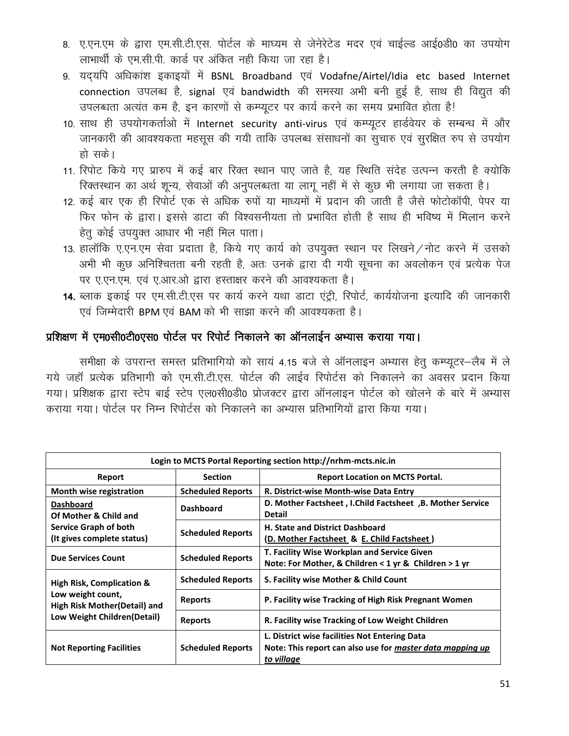- 8. ए.एन.एम के द्वारा एम.सी.टी.एस. पोर्टल के माघ्यम से जेनेरेटेड मदर एवं चाईल्ड आई0डी0 का उपयोग लाभार्थी के एम.सी.पी. कार्ड पर अंकित नही किया जा रहा है।
- 9. यदयपि अधिकांश इकाइयों में BSNL Broadband एवं Vodafne/Airtel/Idia etc based Internet connection उपलब्ध है, signal एवं bandwidth की समस्या अभी बनी हुई है, साथ ही विद्युत की उपलब्धता अत्यंत कम है, इन कारणों से कम्प्यूटर पर कार्य करने का समय प्रभावित होता है!
- 10. साथ ही उपयोगकर्ताओं में Internet security anti-virus एवं कम्प्यूटर हार्डवेयर के सम्बन्ध में और जानकारी की आवश्यकता महसूस की गयी ताकि उपलब्ध संसाधनों का सूचारु एवं सुरक्षित रुप से उपयोग हो सके।
- 11. रिपोट किये गए प्रारुप में कई बार रिक्त स्थान पाए जाते है, यह स्थिति संदेह उत्पन्न करती है क्योकि रिक्तस्थान का अर्थ शून्य, सेवाओं की अनुपलब्धता या लागू नहीं में से कुछ भी लगाया जा सकता है।
- 12. कई बार एक ही रिपोर्ट एक से अधिक रुपों या माध्यमों में प्रदान की जाती है जैसे फोटोकॉपी, पेपर या फिर फोन के द्वारा। इससे डाटा की विश्वसनीयता तो प्रभावित होती है साथ ही भविष्य में मिलान करने हेतु कोई उपयुक्त आधार भी नहीं मिल पाता।
- 13. हालॉकि ए.एन.एम सेवा प्रदाता है, किये गए कार्य को उपयुक्त स्थान पर लिखने / नोट करने में उसको अभी भी कुछ अनिश्चितता बनी रहती है, अतः उनके द्वारा दी गयी सूचना का अवलोकन एवं प्रत्येक पेज पर ए.एन.एम. एवं ए.आर.ओ द्वारा हस्ताक्षर करने की आवश्यकता है।
- 14. ब्लाक इकाई पर एम.सी.टी.एस पर कार्य करने यथा डाटा एंट्री, रिपोर्ट, कार्ययोजना इत्यादि की जानकारी एवं जिम्मेदारी BPM एवं BAM को भी साझा करने की आवश्यकता है।

# प्रशिक्षण में एम0सी0टी0एस0 पोर्टल पर रिपोर्ट निकालने का ऑनलाईन अभ्यास कराया गया।

समीक्षा के उपरान्त समस्त प्रतिभागियो को सायं 4.15 बजे से ऑनलाइन अभ्यास हेतु कम्प्यूटर-लैब में ले गये जहाँ प्रत्येक प्रतिभागी को एम.सी.टी.एस. पोर्टल की लाईव रिपोर्टस को निकालने का अवसर प्रदान किया गया। प्रशिक्षक द्वारा स्टेप बाई स्टेप एल0सी0डी0 प्रोजक्टर द्वारा ऑनलाइन पोर्टल को खोलने के बारे में अभ्यास कराया गया। पोर्टल पर निम्न रिपोर्टस को निकालने का अभ्यास प्रतिभागियों द्वारा किया गया।

| Login to MCTS Portal Reporting section http://nrhm-mcts.nic.in                                   |                          |                                                                                                                          |  |  |
|--------------------------------------------------------------------------------------------------|--------------------------|--------------------------------------------------------------------------------------------------------------------------|--|--|
| Report<br><b>Section</b>                                                                         |                          | <b>Report Location on MCTS Portal.</b>                                                                                   |  |  |
| Month wise registration                                                                          | <b>Scheduled Reports</b> | R. District-wise Month-wise Data Entry                                                                                   |  |  |
| <b>Dashboard</b><br>Of Mother & Child and<br>Service Graph of both<br>(It gives complete status) | <b>Dashboard</b>         | D. Mother Factsheet, I.Child Factsheet, B. Mother Service<br><b>Detail</b>                                               |  |  |
|                                                                                                  | <b>Scheduled Reports</b> | <b>H. State and District Dashboard</b><br>(D. Mother Factsheet & E. Child Factsheet)                                     |  |  |
| <b>Due Services Count</b>                                                                        | <b>Scheduled Reports</b> | T. Facility Wise Workplan and Service Given<br>Note: For Mother, & Children < 1 yr & Children > 1 yr                     |  |  |
| <b>High Risk, Complication &amp;</b>                                                             | <b>Scheduled Reports</b> | S. Facility wise Mother & Child Count                                                                                    |  |  |
| Low weight count,<br><b>High Risk Mother (Detail) and</b>                                        | <b>Reports</b>           | P. Facility wise Tracking of High Risk Pregnant Women                                                                    |  |  |
| Low Weight Children(Detail)                                                                      | <b>Reports</b>           | R. Facility wise Tracking of Low Weight Children                                                                         |  |  |
| <b>Not Reporting Facilities</b>                                                                  | <b>Scheduled Reports</b> | L. District wise facilities Not Entering Data<br>Note: This report can also use for master data mapping up<br>to village |  |  |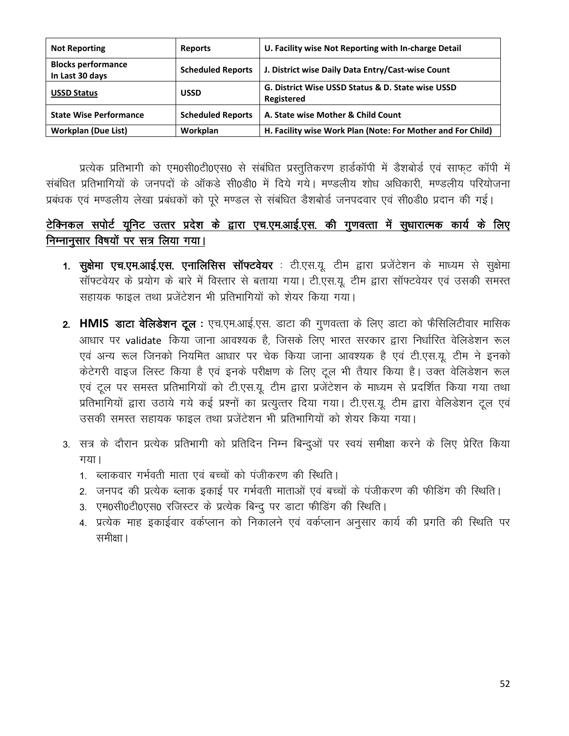| <b>Not Reporting</b>                         | <b>Reports</b>           | U. Facility wise Not Reporting with In-charge Detail            |
|----------------------------------------------|--------------------------|-----------------------------------------------------------------|
| <b>Blocks performance</b><br>In Last 30 days | <b>Scheduled Reports</b> | J. District wise Daily Data Entry/Cast-wise Count               |
| <b>USSD Status</b>                           | <b>USSD</b>              | G. District Wise USSD Status & D. State wise USSD<br>Registered |
| <b>State Wise Performance</b>                | <b>Scheduled Reports</b> | A. State wise Mother & Child Count                              |
| <b>Workplan (Due List)</b>                   | Workplan                 | H. Facility wise Work Plan (Note: For Mother and For Child)     |

प्रत्येक प्रतिभागी को एम0सी0टी0एस0 से संबंधित प्रस्तुतिकरण हार्डकॉपी में डैशबोर्ड एवं साफुट कॉपी में संबंधित प्रतिभागियों के जनपदों के ऑकडे सी0डी0 में दिये गये। मण्डलीय शोध अधिकारी, मण्डलीय परियोजना प्रबंधक एवं मण्डलीय लेखा प्रबंधकों को पूरे मण्डल से संबंधित डैशबोर्ड जनपदवार एवं सी0डी0 प्रदान की गई।

## टेक्निकल सपोर्ट यूनिट उत्तर प्रदेश के द्वारा एच.एम.आई.एस. की गुणवत्ता में सुधारात्मक कार्य के लिए निम्नानूसार विषयों पर सत्र लिया गया।

- 1. सूक्षेमा एच.एम.आई.एस. एनालिसिस सॉफ्टवेयर : टी.एस.यू. टीम द्वारा प्रजेंटेशन के माध्यम से सूक्षेमा सॉफ्टवेयर के प्रयोग के बारे में विस्तार से बताया गया। टी.एस.यू. टीम द्वारा सॉफ्टवेयर एवं उसकी समस्त सहायक फाइल तथा प्रजेंटेशन भी प्रतिभागियों को शेयर किया गया।
- 2. HMIS डाटा वेलिडेशन टूल : एच.एम.आई.एस. डाटा की गुणवत्ता के लिए डाटा को फैसिलिटीवार मासिक आधार पर validate किया जाना आवश्यक है, जिसके लिए भारत सरकार द्वारा निर्धारित वेलिडेशन रूल एवं अन्य रूल जिनको नियमित आधार पर चेक किया जाना आवश्यक है एवं टी.एस.यू. टीम ने इनको केटेगरी वाइज लिस्ट किया है एवं इनके परीक्षण के लिए टूल भी तैयार किया है। उक्त वेलिडेशन रूल एवं टूल पर समस्त प्रतिभागियों को टी.एस.यू. टीम द्वारा प्रजेंटेशन के माध्यम से प्रदर्शित किया गया तथा प्रतिभागियों द्वारा उठाये गये कई प्रश्नों का प्रत्युत्तर दिया गया। टी.एस.यू. टीम द्वारा वेलिडेशन टूल एवं उसकी समस्त सहायक फाइल तथा प्रजेंटेशन भी प्रतिभागियों को शेयर किया गया।
- 3. सत्र के दौरान प्रत्येक प्रतिभागी को प्रतिदिन निम्न बिन्दुओं पर स्वयं समीक्षा करने के लिए प्रेरित किया  $\overline{q}$ 
	- 1. ब्लाकवार गर्भवती माता एवं बच्चों को पंजीकरण की स्थिति।
	- 2. जनपद की प्रत्येक ब्लाक इकाई पर गर्भवती माताओं एवं बच्चों के पंजीकरण की फीडिंग की स्थिति।
	- 3. एम0सी0टी0एस0 रजिस्टर के प्रत्येक बिन्द पर डाटा फीडिंग की स्थिति।
	- 4. प्रत्येक माह इकाईवार वर्कप्लान को निकालने एवं वर्कप्लान अनुसार कार्य की प्रगति की स्थिति पर समीक्षा ।